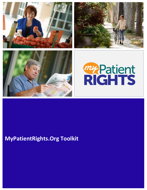







## **MyPatientRights.Org Toolkit**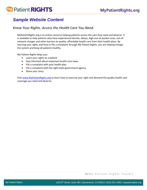# my Patient RIGHTS

### *Sample Website Content*

### *Know Your Rights. Access the Health Care You Need.*

MyPatientRights.org is an online resource helping patients access the care they need and deserve. It is available to help patients who have experienced denials, delays, high-out-of-pocket costs, out-ofnetwork charges and other barriers to quality, affordable health care from their health plans. By learning your rights and how to file a complaint through My Patient Rights, you are helping change the system and keep all patients healthy.

My Patient Rights helps you:

- Learn your rights as a patient
- Stay informed about important health care news
- File a complaint with your health plan
- File a complaint with the *right* state government agency
- Share your story

Visit [www.MyPatientRights.org](http://www.mypatientrights.org/) to learn how to exercise your right and demand the quality health care coverage you need and deserve.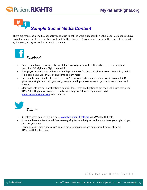# **Patient RIGHTS**

# *Sample Social Media Content*

There are many social media channels you can use to get the word out about this valuable for patients. We have provided sample posts for your Facebook and Twitter channels. You can also repurpose this content for Google +, Pinterest, Instagram and other social channels.



- Denied health care coverage? Facing delays accessing a specialist? Denied access to prescription medicines? @MyPatientRights can help!
- Your physician isn't covered by your health plan and you've been billed for the cost. What do you do? File a complaint. Visi[t @MyPatientRights](http://www.mypatientrights.org/) to learn more.
- Have you been denied health care coverage? Learn your rights, share your story, file a complaint! @MyPatientRights can help you navigate your health plan to ensure you get the care you need and deserve.
- Many patients are not only fighting a painful illness, they are fighting to get the health care they need. @MyPatientRights was created to make sure they don't have to fight alone. Visit [www.MyPatientRights.org](http://www.mypatientrights.org/) to learn more.



#### *Twitter*

- #HealthAccess denied? Help is here. [www.MyPatientRights.org](http://www.mypatientrights.org/) via @MyHealthRights
- Have you been denied #HealthCare coverage? @MyHealthRights can help you learn your rights & get the care you need.
- Facing delays seeing a specialist? Denied prescription medicines or a crucial treatment? Visit @MyHealthRights today.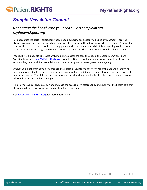# **my Patient RIGHTS**

### *Sample Newsletter Content*

### *Not getting the health care you need? File a complaint via MyPatientRights.org*

Patients across the state – particularly those needing specific specialists, medicines or treatment – are not always accessing the care they need and deserve; often, because they don't know where to begin. It's important to know there is a resource available to help patients who have experienced denials, delays, high out-of-pocket costs, out-of-network charges and other barriers to quality, affordable health care from their health plans.

Inspired by real patients frustrated with inability to access the care they need, the California Chronic Care Coalition launched [www.MyPatientRights.org](http://www.mypatientrights.org/) to help patients learn their rights, know where to go to get the answers they need and file a complaint with their health plan and state government agency.

By channeling patients' complaints through their state's regulatory agency, MyPatientRights.org is informing decision makers about the pattern of issues, delays, problems and denials patients face in their state's current health care system. The state agencies will motivate needed changes in the health plans and ultimately ensure affordable access to quality coverage.

Help to improve patient education and increase the accessibility, affordability and quality of the health care that all patients deserve by taking one simple step: file a complaint.

Visit [www.MyPatientRights.org](http://www.mypatientrights.org/) for more information.